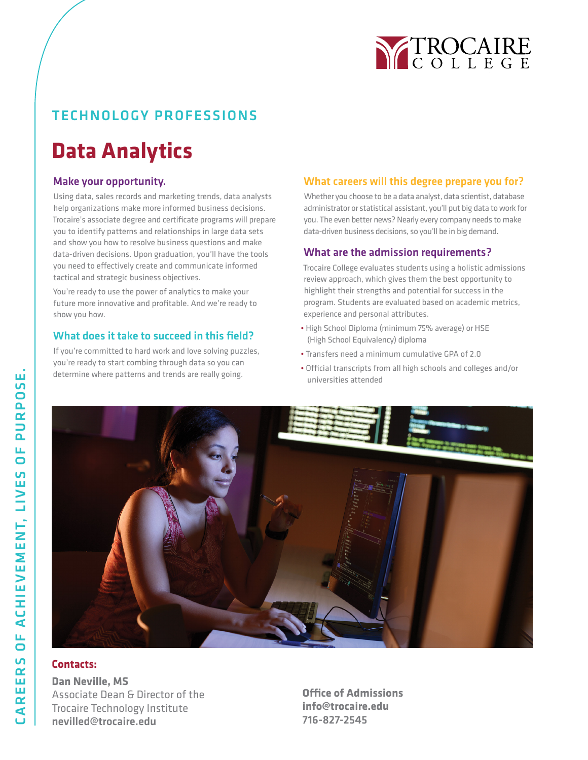

## TECHNOLOGY PROFESSIONS

# **Data Analytics**

### Make your opportunity.

Using data, sales records and marketing trends, data analysts help organizations make more informed business decisions. Trocaire's associate degree and certificate programs will prepare you to identify patterns and relationships in large data sets and show you how to resolve business questions and make data-driven decisions. Upon graduation, you'll have the tools you need to effectively create and communicate informed tactical and strategic business objectives.

You're ready to use the power of analytics to make your future more innovative and profitable. And we're ready to show you how.

#### What does it take to succeed in this field?

If you're committed to hard work and love solving puzzles, you're ready to start combing through data so you can determine where patterns and trends are really going.

#### What careers will this degree prepare you for?

Whether you choose to be a data analyst, data scientist, database administrator or statistical assistant, you'll put big data to work for you. The even better news? Nearly every company needs to make data-driven business decisions, so you'll be in big demand.

#### What are the admission requirements?

Trocaire College evaluates students using a holistic admissions review approach, which gives them the best opportunity to highlight their strengths and potential for success in the program. Students are evaluated based on academic metrics, experience and personal attributes.

- High School Diploma (minimum 75% average) or HSE (High School Equivalency) diploma
- Transfers need a minimum cumulative GPA of 2.0
- Official transcripts from all high schools and colleges and/or universities attended



### **Contacts:**

**Dan Neville, MS** Associate Dean & Director of the Trocaire Technology Institute nevilled@trocaire.edu

**Office of Admissions info@trocaire.edu** 716-827-2545

ш